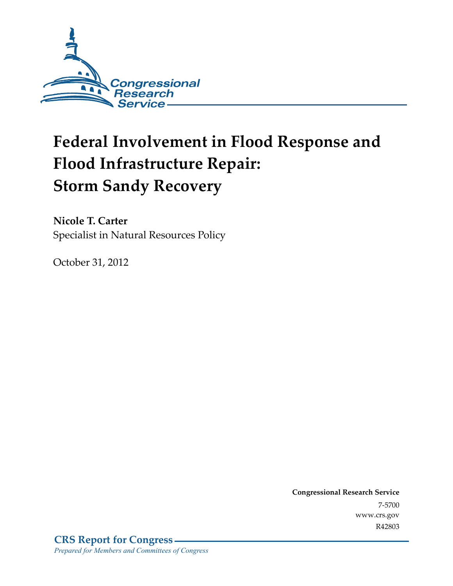

# **Federal Involvement in Flood Response and Flood Infrastructure Repair: Storm Sandy Recovery**

**Nicole T. Carter**  Specialist in Natural Resources Policy

October 31, 2012

**Congressional Research Service**  7-5700 www.crs.gov R42803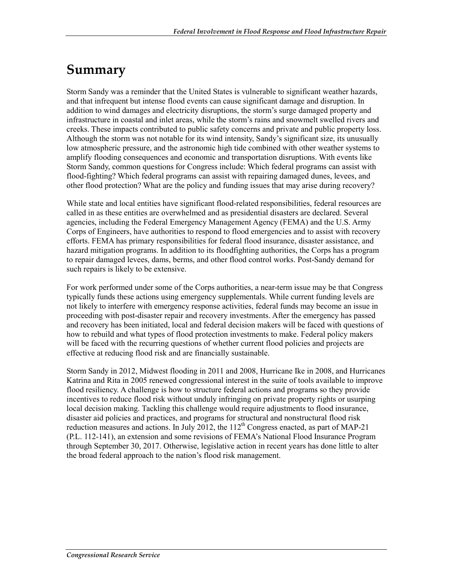## **Summary**

Storm Sandy was a reminder that the United States is vulnerable to significant weather hazards, and that infrequent but intense flood events can cause significant damage and disruption. In addition to wind damages and electricity disruptions, the storm's surge damaged property and infrastructure in coastal and inlet areas, while the storm's rains and snowmelt swelled rivers and creeks. These impacts contributed to public safety concerns and private and public property loss. Although the storm was not notable for its wind intensity, Sandy's significant size, its unusually low atmospheric pressure, and the astronomic high tide combined with other weather systems to amplify flooding consequences and economic and transportation disruptions. With events like Storm Sandy, common questions for Congress include: Which federal programs can assist with flood-fighting? Which federal programs can assist with repairing damaged dunes, levees, and other flood protection? What are the policy and funding issues that may arise during recovery?

While state and local entities have significant flood-related responsibilities, federal resources are called in as these entities are overwhelmed and as presidential disasters are declared. Several agencies, including the Federal Emergency Management Agency (FEMA) and the U.S. Army Corps of Engineers, have authorities to respond to flood emergencies and to assist with recovery efforts. FEMA has primary responsibilities for federal flood insurance, disaster assistance, and hazard mitigation programs. In addition to its floodfighting authorities, the Corps has a program to repair damaged levees, dams, berms, and other flood control works. Post-Sandy demand for such repairs is likely to be extensive.

For work performed under some of the Corps authorities, a near-term issue may be that Congress typically funds these actions using emergency supplementals. While current funding levels are not likely to interfere with emergency response activities, federal funds may become an issue in proceeding with post-disaster repair and recovery investments. After the emergency has passed and recovery has been initiated, local and federal decision makers will be faced with questions of how to rebuild and what types of flood protection investments to make. Federal policy makers will be faced with the recurring questions of whether current flood policies and projects are effective at reducing flood risk and are financially sustainable.

Storm Sandy in 2012, Midwest flooding in 2011 and 2008, Hurricane Ike in 2008, and Hurricanes Katrina and Rita in 2005 renewed congressional interest in the suite of tools available to improve flood resiliency. A challenge is how to structure federal actions and programs so they provide incentives to reduce flood risk without unduly infringing on private property rights or usurping local decision making. Tackling this challenge would require adjustments to flood insurance, disaster aid policies and practices, and programs for structural and nonstructural flood risk reduction measures and actions. In July 2012, the  $112<sup>th</sup>$  Congress enacted, as part of MAP-21 (P.L. 112-141), an extension and some revisions of FEMA's National Flood Insurance Program through September 30, 2017. Otherwise, legislative action in recent years has done little to alter the broad federal approach to the nation's flood risk management.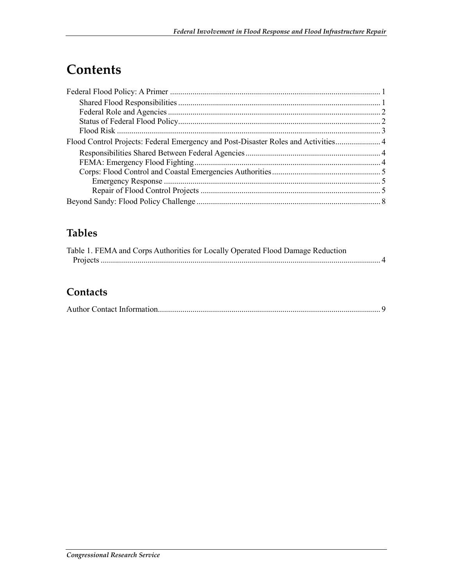## **Contents**

## **Tables**

| Table 1. FEMA and Corps Authorities for Locally Operated Flood Damage Reduction |  |
|---------------------------------------------------------------------------------|--|
|                                                                                 |  |

### **Contacts**

|--|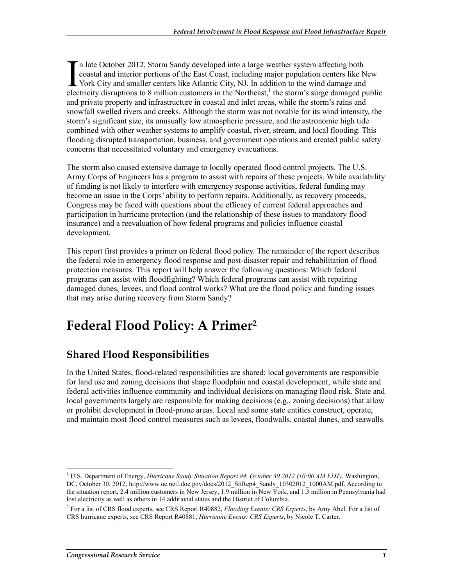n late October 2012, Storm Sandy developed into a large weather system affecting both coastal and interior portions of the East Coast, including major population centers like New York City and smaller centers like Atlantic City, NJ. In addition to the wind damage and In late October 2012, Storm Sandy developed into a large weather system affecting both coastal and interior portions of the East Coast, including major population centers like New York City and smaller centers like Atlanti and private property and infrastructure in coastal and inlet areas, while the storm's rains and snowfall swelled rivers and creeks. Although the storm was not notable for its wind intensity, the storm's significant size, its unusually low atmospheric pressure, and the astronomic high tide combined with other weather systems to amplify coastal, river, stream, and local flooding. This flooding disrupted transportation, business, and government operations and created public safety concerns that necessitated voluntary and emergency evacuations.

The storm also caused extensive damage to locally operated flood control projects. The U.S. Army Corps of Engineers has a program to assist with repairs of these projects. While availability of funding is not likely to interfere with emergency response activities, federal funding may become an issue in the Corps' ability to perform repairs. Additionally, as recovery proceeds, Congress may be faced with questions about the efficacy of current federal approaches and participation in hurricane protection (and the relationship of these issues to mandatory flood insurance) and a reevaluation of how federal programs and policies influence coastal development.

This report first provides a primer on federal flood policy. The remainder of the report describes the federal role in emergency flood response and post-disaster repair and rehabilitation of flood protection measures. This report will help answer the following questions: Which federal programs can assist with floodfighting? Which federal programs can assist with repairing damaged dunes, levees, and flood control works? What are the flood policy and funding issues that may arise during recovery from Storm Sandy?

## **Federal Flood Policy: A Primer2**

### **Shared Flood Responsibilities**

In the United States, flood-related responsibilities are shared: local governments are responsible for land use and zoning decisions that shape floodplain and coastal development, while state and federal activities influence community and individual decisions on managing flood risk. State and local governments largely are responsible for making decisions (e.g., zoning decisions) that allow or prohibit development in flood-prone areas. Local and some state entities construct, operate, and maintain most flood control measures such as levees, floodwalls, coastal dunes, and seawalls.

<sup>1</sup> <sup>1</sup> U.S. Department of Energy, *Hurricane Sandy Situation Report #4, October 30 2012 (10:00 AM EDT)*, Washington, DC, October 30, 2012, http://www.oe.netl.doe.gov/docs/2012\_SitRep4\_Sandy\_10302012\_1000AM.pdf. According to the situation report, 2.4 million customers in New Jersey, 1.9 million in New York, and 1.3 million in Pennsylvania had lost electricity as well as others in 14 additional states and the District of Columbia.

<sup>2</sup> For a list of CRS flood experts, see CRS Report R40882, *Flooding Events: CRS Experts*, by Amy Abel. For a list of CRS hurricane experts, see CRS Report R40881, *Hurricane Events: CRS Experts*, by Nicole T. Carter.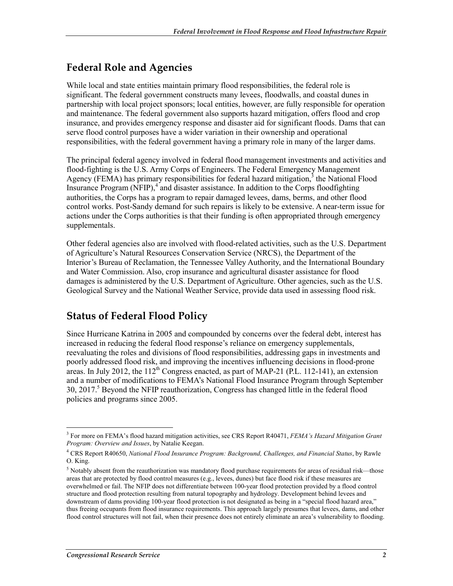### **Federal Role and Agencies**

While local and state entities maintain primary flood responsibilities, the federal role is significant. The federal government constructs many levees, floodwalls, and coastal dunes in partnership with local project sponsors; local entities, however, are fully responsible for operation and maintenance. The federal government also supports hazard mitigation, offers flood and crop insurance, and provides emergency response and disaster aid for significant floods. Dams that can serve flood control purposes have a wider variation in their ownership and operational responsibilities, with the federal government having a primary role in many of the larger dams.

The principal federal agency involved in federal flood management investments and activities and flood-fighting is the U.S. Army Corps of Engineers. The Federal Emergency Management Agency (FEMA) has primary responsibilities for federal hazard mitigation, $3$  the National Flood Insurance Program (NFIP),<sup>4</sup> and disaster assistance. In addition to the Corps floodfighting authorities, the Corps has a program to repair damaged levees, dams, berms, and other flood control works. Post-Sandy demand for such repairs is likely to be extensive. A near-term issue for actions under the Corps authorities is that their funding is often appropriated through emergency supplementals.

Other federal agencies also are involved with flood-related activities, such as the U.S. Department of Agriculture's Natural Resources Conservation Service (NRCS), the Department of the Interior's Bureau of Reclamation, the Tennessee Valley Authority, and the International Boundary and Water Commission. Also, crop insurance and agricultural disaster assistance for flood damages is administered by the U.S. Department of Agriculture. Other agencies, such as the U.S. Geological Survey and the National Weather Service, provide data used in assessing flood risk.

## **Status of Federal Flood Policy**

Since Hurricane Katrina in 2005 and compounded by concerns over the federal debt, interest has increased in reducing the federal flood response's reliance on emergency supplementals, reevaluating the roles and divisions of flood responsibilities, addressing gaps in investments and poorly addressed flood risk, and improving the incentives influencing decisions in flood-prone areas. In July 2012, the  $112<sup>th</sup>$  Congress enacted, as part of MAP-21 (P.L. 112-141), an extension and a number of modifications to FEMA's National Flood Insurance Program through September 30, 2017.<sup>5</sup> Beyond the NFIP reauthorization, Congress has changed little in the federal flood policies and programs since 2005.

<u>.</u>

<sup>3</sup> For more on FEMA's flood hazard mitigation activities, see CRS Report R40471, *FEMA's Hazard Mitigation Grant Program: Overview and Issues*, by Natalie Keegan.

<sup>4</sup> CRS Report R40650, *National Flood Insurance Program: Background, Challenges, and Financial Status*, by Rawle O. King.

 $<sup>5</sup>$  Notably absent from the reauthorization was mandatory flood purchase requirements for areas of residual risk—those</sup> areas that are protected by flood control measures (e.g., levees, dunes) but face flood risk if these measures are overwhelmed or fail. The NFIP does not differentiate between 100-year flood protection provided by a flood control structure and flood protection resulting from natural topography and hydrology. Development behind levees and downstream of dams providing 100-year flood protection is not designated as being in a "special flood hazard area," thus freeing occupants from flood insurance requirements. This approach largely presumes that levees, dams, and other flood control structures will not fail, when their presence does not entirely eliminate an area's vulnerability to flooding.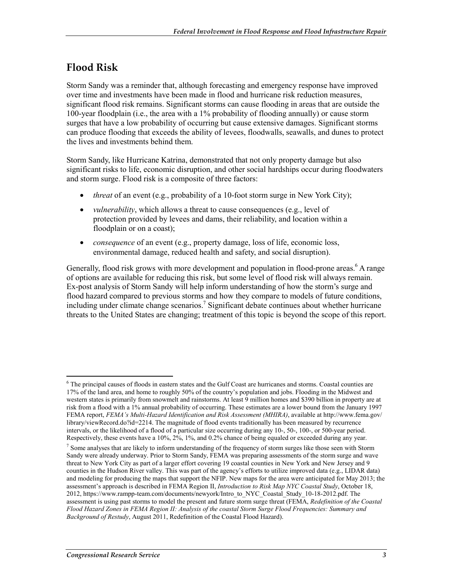### **Flood Risk**

Storm Sandy was a reminder that, although forecasting and emergency response have improved over time and investments have been made in flood and hurricane risk reduction measures, significant flood risk remains. Significant storms can cause flooding in areas that are outside the 100-year floodplain (i.e., the area with a 1% probability of flooding annually) or cause storm surges that have a low probability of occurring but cause extensive damages. Significant storms can produce flooding that exceeds the ability of levees, floodwalls, seawalls, and dunes to protect the lives and investments behind them.

Storm Sandy, like Hurricane Katrina, demonstrated that not only property damage but also significant risks to life, economic disruption, and other social hardships occur during floodwaters and storm surge. Flood risk is a composite of three factors:

- *threat* of an event (e.g., probability of a 10-foot storm surge in New York City);
- *vulnerability*, which allows a threat to cause consequences (e.g., level of protection provided by levees and dams, their reliability, and location within a floodplain or on a coast);
- *consequence* of an event (e.g., property damage, loss of life, economic loss, environmental damage, reduced health and safety, and social disruption).

Generally, flood risk grows with more development and population in flood-prone areas.<sup>6</sup> A range of options are available for reducing this risk, but some level of flood risk will always remain. Ex-post analysis of Storm Sandy will help inform understanding of how the storm's surge and flood hazard compared to previous storms and how they compare to models of future conditions, including under climate change scenarios.<sup>7</sup> Significant debate continues about whether hurricane threats to the United States are changing; treatment of this topic is beyond the scope of this report.

1

<sup>&</sup>lt;sup>6</sup> The principal causes of floods in eastern states and the Gulf Coast are hurricanes and storms. Coastal counties are 17% of the land area, and home to roughly 50% of the country's population and jobs. Flooding in the Midwest and western states is primarily from snowmelt and rainstorms. At least 9 million homes and \$390 billion in property are at risk from a flood with a 1% annual probability of occurring. These estimates are a lower bound from the January 1997 FEMA report, *FEMA's Multi-Hazard Identification and Risk Assessment (MHIRA)*, available at http://www.fema.gov/ library/viewRecord.do?id=2214. The magnitude of flood events traditionally has been measured by recurrence intervals, or the likelihood of a flood of a particular size occurring during any 10-, 50-, 100-, or 500-year period. Respectively, these events have a 10%, 2%, 1%, and 0.2% chance of being equaled or exceeded during any year.

<sup>&</sup>lt;sup>7</sup> Some analyses that are likely to inform understanding of the frequency of storm surges like those seen with Storm Sandy were already underway. Prior to Storm Sandy, FEMA was preparing assessments of the storm surge and wave threat to New York City as part of a larger effort covering 19 coastal counties in New York and New Jersey and 9 counties in the Hudson River valley. This was part of the agency's efforts to utilize improved data (e.g., LIDAR data) and modeling for producing the maps that support the NFIP. New maps for the area were anticipated for May 2013; the assessment's approach is described in FEMA Region II, *Introduction to Risk Map NYC Coastal Study*, October 18, 2012, https://www.rampp-team.com/documents/newyork/Intro\_to\_NYC\_Coastal\_Study\_10-18-2012.pdf. The assessment is using past storms to model the present and future storm surge threat (FEMA, *Redefinition of the Coastal Flood Hazard Zones in FEMA Region II: Analysis of the coastal Storm Surge Flood Frequencies: Summary and Background of Restudy*, August 2011, Redefinition of the Coastal Flood Hazard).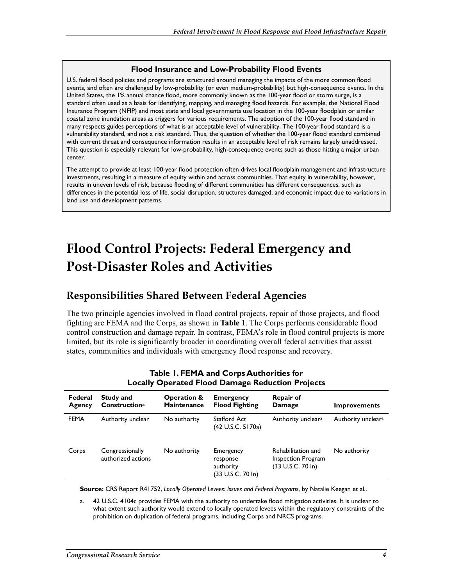#### **Flood Insurance and Low-Probability Flood Events**

U.S. federal flood policies and programs are structured around managing the impacts of the more common flood events, and often are challenged by low-probability (or even medium-probability) but high-consequence events. In the United States, the 1% annual chance flood, more commonly known as the 100-year flood or storm surge, is a standard often used as a basis for identifying, mapping, and managing flood hazards. For example, the National Flood Insurance Program (NFIP) and most state and local governments use location in the 100-year floodplain or similar coastal zone inundation areas as triggers for various requirements. The adoption of the 100-year flood standard in many respects guides perceptions of what is an acceptable level of vulnerability. The 100-year flood standard is a vulnerability standard, and not a risk standard. Thus, the question of whether the 100-year flood standard combined with current threat and consequence information results in an acceptable level of risk remains largely unaddressed. This question is especially relevant for low-probability, high-consequence events such as those hitting a major urban center.

The attempt to provide at least 100-year flood protection often drives local floodplain management and infrastructure investments, resulting in a measure of equity within and across communities. That equity in vulnerability, however, results in uneven levels of risk, because flooding of different communities has different consequences, such as differences in the potential loss of life, social disruption, structures damaged, and economic impact due to variations in land use and development patterns.

## **Flood Control Projects: Federal Emergency and Post-Disaster Roles and Activities**

### **Responsibilities Shared Between Federal Agencies**

The two principle agencies involved in flood control projects, repair of those projects, and flood fighting are FEMA and the Corps, as shown in **Table 1**. The Corps performs considerable flood control construction and damage repair. In contrast, FEMA's role in flood control projects is more limited, but its role is significantly broader in coordinating overall federal activities that assist states, communities and individuals with emergency flood response and recovery.

| Federal<br>Agency | Study and<br>Construction <sup>a</sup> | <b>Operation &amp;</b><br><b>Maintenance</b> | <b>Emergency</b><br><b>Flood Fighting</b>                | <b>Repair of</b><br>Damage                                   | <b>Improvements</b>            |
|-------------------|----------------------------------------|----------------------------------------------|----------------------------------------------------------|--------------------------------------------------------------|--------------------------------|
| <b>FEMA</b>       | Authority unclear                      | No authority                                 | <b>Stafford Act</b><br>(42 U.S.C. 5170a)                 | Authority unclear <sup>a</sup>                               | Authority unclear <sup>a</sup> |
| Corps             | Congressionally<br>authorized actions  | No authority                                 | Emergency<br>response<br>authority<br>(33 U.S.C. 70 l n) | Rehabilitation and<br>Inspection Program<br>(33 U.S.C. 701n) | No authority                   |

#### **Table 1. FEMA and Corps Authorities for Locally Operated Flood Damage Reduction Projects**

**Source:** CRS Report R41752, *Locally Operated Levees: Issues and Federal Programs*, by Natalie Keegan et al..

a. 42 U.S.C. 4104c provides FEMA with the authority to undertake flood mitigation activities. It is unclear to what extent such authority would extend to locally operated levees within the regulatory constraints of the prohibition on duplication of federal programs, including Corps and NRCS programs.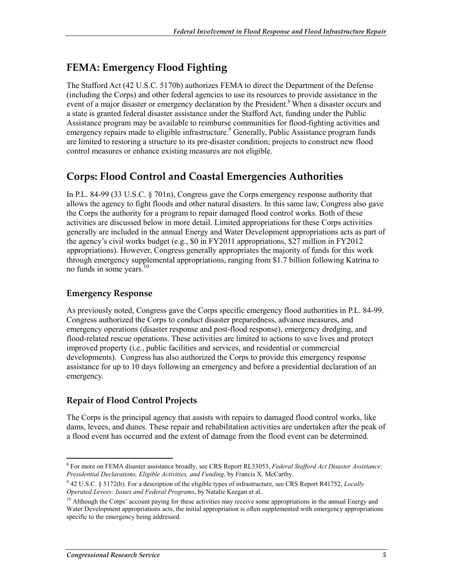## **FEMA: Emergency Flood Fighting**

The Stafford Act (42 U.S.C. 5170b) authorizes FEMA to direct the Department of the Defense (including the Corps) and other federal agencies to use its resources to provide assistance in the event of a major disaster or emergency declaration by the President.<sup>8</sup> When a disaster occurs and a state is granted federal disaster assistance under the Stafford Act, funding under the Public Assistance program may be available to reimburse communities for flood-fighting activities and emergency repairs made to eligible infrastructure.<sup>9</sup> Generally, Public Assistance program funds are limited to restoring a structure to its pre-disaster condition; projects to construct new flood control measures or enhance existing measures are not eligible.

## **Corps: Flood Control and Coastal Emergencies Authorities**

In P.L. 84-99 (33 U.S.C. § 701n), Congress gave the Corps emergency response authority that allows the agency to fight floods and other natural disasters. In this same law, Congress also gave the Corps the authority for a program to repair damaged flood control works. Both of these activities are discussed below in more detail. Limited appropriations for these Corps activities generally are included in the annual Energy and Water Development appropriations acts as part of the agency's civil works budget (e.g., \$0 in FY2011 appropriations, \$27 million in FY2012 appropriations). However, Congress generally appropriates the majority of funds for this work through emergency supplemental appropriations, ranging from \$1.7 billion following Katrina to no funds in some years.<sup>10</sup>

#### **Emergency Response**

As previously noted, Congress gave the Corps specific emergency flood authorities in P.L. 84-99. Congress authorized the Corps to conduct disaster preparedness, advance measures, and emergency operations (disaster response and post-flood response), emergency dredging, and flood-related rescue operations. These activities are limited to actions to save lives and protect improved property (i.e., public facilities and services, and residential or commercial developments). Congress has also authorized the Corps to provide this emergency response assistance for up to 10 days following an emergency and before a presidential declaration of an emergency.

### **Repair of Flood Control Projects**

The Corps is the principal agency that assists with repairs to damaged flood control works, like dams, levees, and dunes. These repair and rehabilitation activities are undertaken after the peak of a flood event has occurred and the extent of damage from the flood event can be determined.

<sup>1</sup> 8 For more on FEMA disaster assistance broadly, see CRS Report RL33053, *Federal Stafford Act Disaster Assistance: Presidential Declarations, Eligible Activities, and Funding*, by Francis X. McCarthy.

<sup>9</sup> 42 U.S.C. § 5172(b). For a description of the eligible types of infrastructure, see CRS Report R41752, *Locally Operated Levees: Issues and Federal Programs*, by Natalie Keegan et al.

<sup>&</sup>lt;sup>10</sup> Although the Corps' account paying for these activities may receive some appropriations in the annual Energy and Water Development appropriations acts, the initial appropriation is often supplemented with emergency appropriations specific to the emergency being addressed.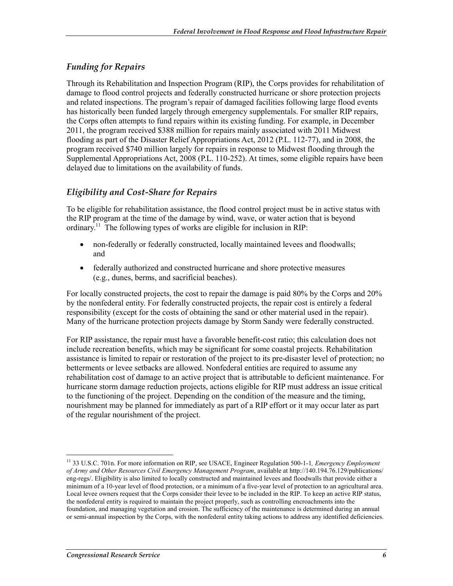#### *Funding for Repairs*

Through its Rehabilitation and Inspection Program (RIP), the Corps provides for rehabilitation of damage to flood control projects and federally constructed hurricane or shore protection projects and related inspections. The program's repair of damaged facilities following large flood events has historically been funded largely through emergency supplementals. For smaller RIP repairs, the Corps often attempts to fund repairs within its existing funding. For example, in December 2011, the program received \$388 million for repairs mainly associated with 2011 Midwest flooding as part of the Disaster Relief Appropriations Act, 2012 (P.L. 112-77), and in 2008, the program received \$740 million largely for repairs in response to Midwest flooding through the Supplemental Appropriations Act, 2008 (P.L. 110-252). At times, some eligible repairs have been delayed due to limitations on the availability of funds.

#### *Eligibility and Cost-Share for Repairs*

To be eligible for rehabilitation assistance, the flood control project must be in active status with the RIP program at the time of the damage by wind, wave, or water action that is beyond ordinary.<sup>11</sup> The following types of works are eligible for inclusion in RIP:

- non-federally or federally constructed, locally maintained levees and floodwalls; and
- federally authorized and constructed hurricane and shore protective measures (e.g., dunes, berms, and sacrificial beaches).

For locally constructed projects, the cost to repair the damage is paid 80% by the Corps and 20% by the nonfederal entity. For federally constructed projects, the repair cost is entirely a federal responsibility (except for the costs of obtaining the sand or other material used in the repair). Many of the hurricane protection projects damage by Storm Sandy were federally constructed.

For RIP assistance, the repair must have a favorable benefit-cost ratio; this calculation does not include recreation benefits, which may be significant for some coastal projects. Rehabilitation assistance is limited to repair or restoration of the project to its pre-disaster level of protection; no betterments or levee setbacks are allowed. Nonfederal entities are required to assume any rehabilitation cost of damage to an active project that is attributable to deficient maintenance. For hurricane storm damage reduction projects, actions eligible for RIP must address an issue critical to the functioning of the project. Depending on the condition of the measure and the timing, nourishment may be planned for immediately as part of a RIP effort or it may occur later as part of the regular nourishment of the project.

1

<sup>11 33</sup> U.S.C. 701n. For more information on RIP, see USACE, Engineer Regulation 500-1-1*, Emergency Employment of Army and Other Resources Civil Emergency Management Program*, available at http://140.194.76.129/publications/ eng-regs/. Eligibility is also limited to locally constructed and maintained levees and floodwalls that provide either a minimum of a 10-year level of flood protection, or a minimum of a five-year level of protection to an agricultural area. Local levee owners request that the Corps consider their levee to be included in the RIP. To keep an active RIP status, the nonfederal entity is required to maintain the project properly, such as controlling encroachments into the foundation, and managing vegetation and erosion. The sufficiency of the maintenance is determined during an annual or semi-annual inspection by the Corps, with the nonfederal entity taking actions to address any identified deficiencies.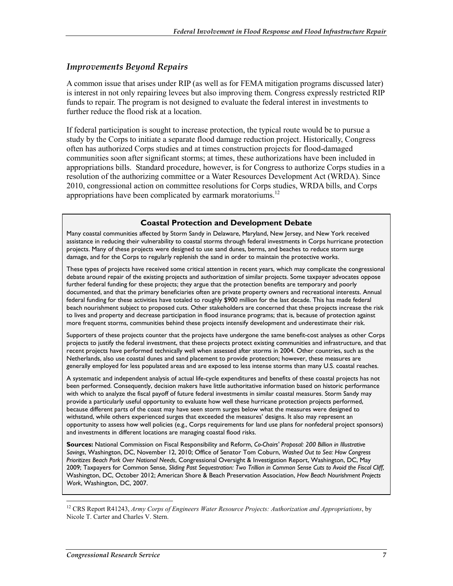#### *Improvements Beyond Repairs*

A common issue that arises under RIP (as well as for FEMA mitigation programs discussed later) is interest in not only repairing levees but also improving them. Congress expressly restricted RIP funds to repair. The program is not designed to evaluate the federal interest in investments to further reduce the flood risk at a location.

If federal participation is sought to increase protection, the typical route would be to pursue a study by the Corps to initiate a separate flood damage reduction project. Historically, Congress often has authorized Corps studies and at times construction projects for flood-damaged communities soon after significant storms; at times, these authorizations have been included in appropriations bills. Standard procedure, however, is for Congress to authorize Corps studies in a resolution of the authorizing committee or a Water Resources Development Act (WRDA). Since 2010, congressional action on committee resolutions for Corps studies, WRDA bills, and Corps appropriations have been complicated by earmark moratoriums.<sup>12</sup>

#### **Coastal Protection and Development Debate**

Many coastal communities affected by Storm Sandy in Delaware, Maryland, New Jersey, and New York received assistance in reducing their vulnerability to coastal storms through federal investments in Corps hurricane protection projects. Many of these projects were designed to use sand dunes, berms, and beaches to reduce storm surge damage, and for the Corps to regularly replenish the sand in order to maintain the protective works.

These types of projects have received some critical attention in recent years, which may complicate the congressional debate around repair of the existing projects and authorization of similar projects. Some taxpayer advocates oppose further federal funding for these projects; they argue that the protection benefits are temporary and poorly documented, and that the primary beneficiaries often are private property owners and recreational interests. Annual federal funding for these activities have totaled to roughly \$900 million for the last decade. This has made federal beach nourishment subject to proposed cuts. Other stakeholders are concerned that these projects increase the risk to lives and property and decrease participation in flood insurance programs; that is, because of protection against more frequent storms, communities behind these projects intensify development and underestimate their risk.

Supporters of these projects counter that the projects have undergone the same benefit-cost analyses as other Corps projects to justify the federal investment, that these projects protect existing communities and infrastructure, and that recent projects have performed technically well when assessed after storms in 2004. Other countries, such as the Netherlands, also use coastal dunes and sand placement to provide protection; however, these measures are generally employed for less populated areas and are exposed to less intense storms than many U.S. coastal reaches.

A systematic and independent analysis of actual life-cycle expenditures and benefits of these coastal projects has not been performed. Consequently, decision makers have little authoritative information based on historic performance with which to analyze the fiscal payoff of future federal investments in similar coastal measures. Storm Sandy may provide a particularly useful opportunity to evaluate how well these hurricane protection projects performed, because different parts of the coast may have seen storm surges below what the measures were designed to withstand, while others experienced surges that exceeded the measures' designs. It also may represent an opportunity to assess how well policies (e.g., Corps requirements for land use plans for nonfederal project sponsors) and investments in different locations are managing coastal flood risks.

**Sources:** National Commission on Fiscal Responsibility and Reform, *Co-Chairs' Proposal: 200 Billion in Illustrative Savings*, Washington, DC, November 12, 2010; Office of Senator Tom Coburn, *Washed Out to Sea: How Congress Prioritizes Beach Pork Over National Needs*, Congressional Oversight & Investigation Report, Washington, DC, May 2009; Taxpayers for Common Sense, *Sliding Past Sequestration: Two Trillion in Common Sense Cuts to Avoid the Fiscal Cliff*, Washington, DC, October 2012; American Shore & Beach Preservation Association, *How Beach Nourishment Projects Work*, Washington, DC, 2007.

1

<sup>12</sup> CRS Report R41243, *Army Corps of Engineers Water Resource Projects: Authorization and Appropriations*, by Nicole T. Carter and Charles V. Stern.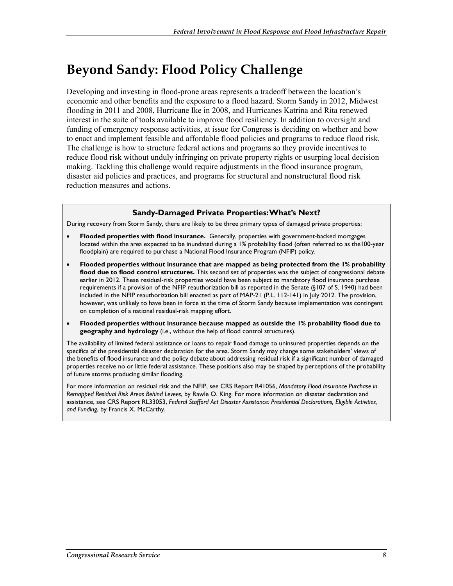## **Beyond Sandy: Flood Policy Challenge**

Developing and investing in flood-prone areas represents a tradeoff between the location's economic and other benefits and the exposure to a flood hazard. Storm Sandy in 2012, Midwest flooding in 2011 and 2008, Hurricane Ike in 2008, and Hurricanes Katrina and Rita renewed interest in the suite of tools available to improve flood resiliency. In addition to oversight and funding of emergency response activities, at issue for Congress is deciding on whether and how to enact and implement feasible and affordable flood policies and programs to reduce flood risk. The challenge is how to structure federal actions and programs so they provide incentives to reduce flood risk without unduly infringing on private property rights or usurping local decision making. Tackling this challenge would require adjustments in the flood insurance program, disaster aid policies and practices, and programs for structural and nonstructural flood risk reduction measures and actions.

#### **Sandy-Damaged Private Properties: What's Next?**

During recovery from Storm Sandy, there are likely to be three primary types of damaged private properties:

- **Flooded properties with flood insurance.** Generally, properties with government-backed mortgages located within the area expected to be inundated during a 1% probability flood (often referred to as the100-year floodplain) are required to purchase a National Flood Insurance Program (NFIP) policy.
- **Flooded properties without insurance that are mapped as being protected from the 1% probability flood due to flood control structures.** This second set of properties was the subject of congressional debate earlier in 2012. These residual-risk properties would have been subject to mandatory flood insurance purchase requirements if a provision of the NFIP reauthorization bill as reported in the Senate (§107 of S. 1940) had been included in the NFIP reauthorization bill enacted as part of MAP-21 (P.L. 112-141) in July 2012. The provision, however, was unlikely to have been in force at the time of Storm Sandy because implementation was contingent on completion of a national residual-risk mapping effort.
- **Flooded properties without insurance because mapped as outside the 1% probability flood due to geography and hydrology** (i.e., without the help of flood control structures).

The availability of limited federal assistance or loans to repair flood damage to uninsured properties depends on the specifics of the presidential disaster declaration for the area. Storm Sandy may change some stakeholders' views of the benefits of flood insurance and the policy debate about addressing residual risk if a significant number of damaged properties receive no or little federal assistance. These positions also may be shaped by perceptions of the probability of future storms producing similar flooding.

For more information on residual risk and the NFIP, see CRS Report R41056, *Mandatory Flood Insurance Purchase in Remapped Residual Risk Areas Behind Levees*, by Rawle O. King. For more information on disaster declaration and assistance, see CRS Report RL33053, *Federal Stafford Act Disaster Assistance: Presidential Declarations, Eligible Activities, and Funding*, by Francis X. McCarthy.